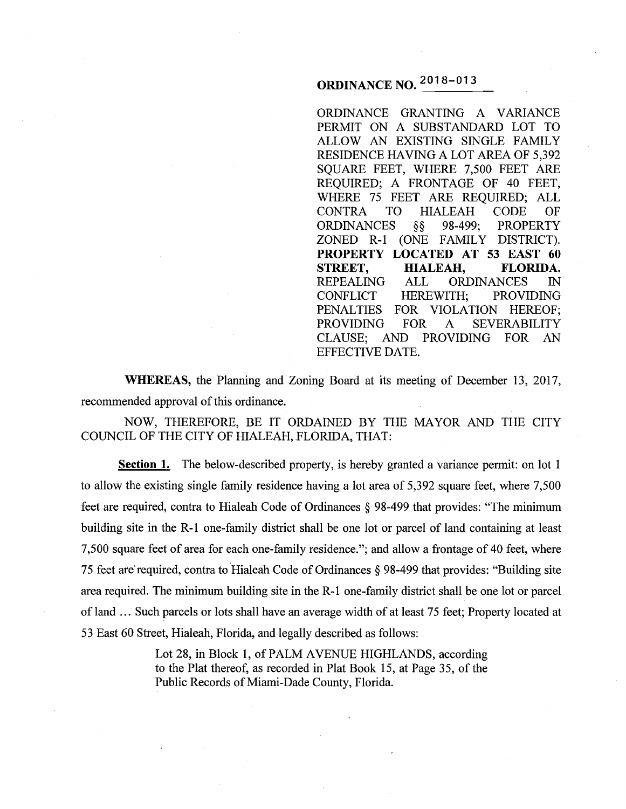# ORDINANCE NO. 2018- <sup>013</sup>

ORDINANCE GRANTING A VARIANCE PERMIT ON A SUBSTANDARD LOT TO ALLOW AN EXISTING SINGLE FAMILY RESIDENCE HAVING A LOT AREA OF 5,392 SQUARE FEET, WHERE 7,500 FEET ARE REQUIRED; A FRONTAGE OF 40 FEET, WHERE 75 FEET ARE REQUIRED; ALL CONTRA TO HIALEAH CODE OF<br>ORDINANCES §§ 98-499; PROPERTY ORDINANCES  $\S$ § 98-499; ZONED R-1 (ONE FAMILY DISTRICT). PROPERTY LOCATED AT 53 EAST 60 STREET, HIALEAH, FLORIDA. REPEALING ALL ORDINANCES IN CONFLICT HEREWITH; PROVIDING PENALTIES FOR VIOLATION HEREOF; PROVIDING FOR A SEVERABILITY CLAUSE; AND PROVIDING FOR AN EFFECTIVE DATE.

WHEREAS, the Planning and Zoning Board at its meeting of December 13, 2017, recommended approval of this ordinance.

NOW, THEREFORE, BE IT ORDAINED BY THE MAYOR AND THE CITY COUNCIL OF THE CITY OF HIALEAH, FLORIDA, THAT:

Section 1. The below-described property, is hereby granted a variance permit: on lot 1 to allow the existing single family residence having a lot area of 5,392 square feet, where 7,500 feet are required, contra to Hialeah Code of Ordinances § 98-499 that provides: "The minimum building site in the R-1 one-family district shall be one lot or parcel of land containing at least 7,500 square feet of area for each one-family residence."; and allow a frontage of 40 feet, where 75 feet are'required, contra to Hialeah Code of Ordinances§ 98-499 that provides: "Building site area required. The minimum building site in the R-1 one-family district shall be one lot or parcel of land ... Such parcels or lots shall have an average width of at least 75 feet; Property located at 53 East 60 Street, Hialeah, Florida, and legally described as follows:

> Lot 28, in Block 1, of PALM AVENUE HIGHLANDS, according to the Plat thereof, as recorded in Plat Book 15, at Page 35, of the Public Records of Miami-Dade County, Florida.